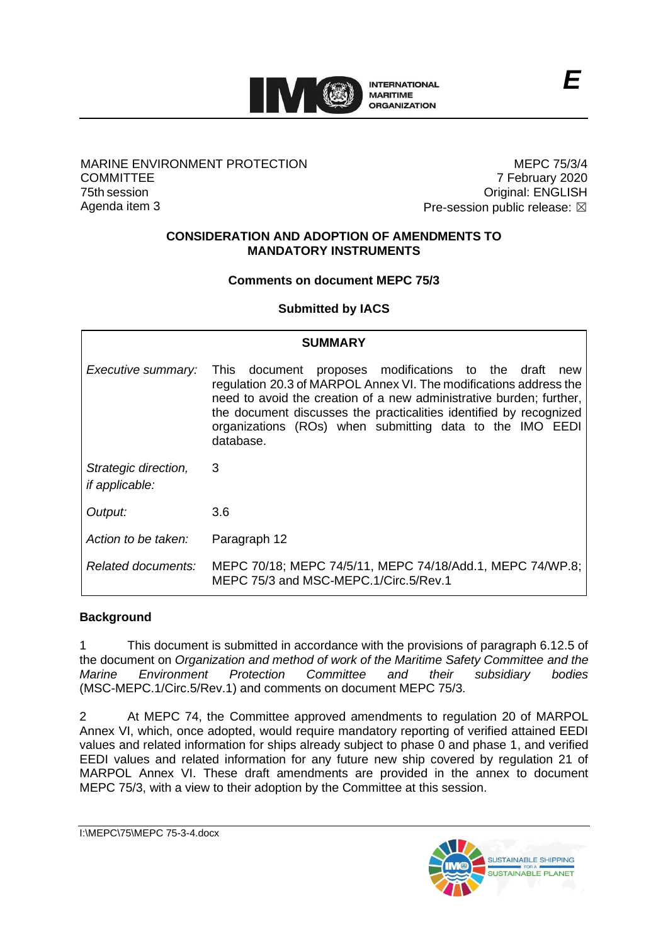

# MARINE ENVIRONMENT PROTECTION **COMMITTEE** 75th session Agenda item 3

MEPC 75/3/4 7 February 2020 Original: ENGLISH Pre-session public release:  $\boxtimes$ 

#### **CONSIDERATION AND ADOPTION OF AMENDMENTS TO MANDATORY INSTRUMENTS**

# **Comments on document MEPC 75/3**

**Submitted by IACS**

| <b>SUMMARY</b>                                |                                                                                                                                                                                                                                                                                                                                                        |
|-----------------------------------------------|--------------------------------------------------------------------------------------------------------------------------------------------------------------------------------------------------------------------------------------------------------------------------------------------------------------------------------------------------------|
| Executive summary:                            | document proposes modifications to the draft<br>This<br>new<br>regulation 20.3 of MARPOL Annex VI. The modifications address the<br>need to avoid the creation of a new administrative burden; further,<br>the document discusses the practicalities identified by recognized<br>organizations (ROs) when submitting data to the IMO EEDI<br>database. |
| Strategic direction,<br><i>if applicable:</i> | 3                                                                                                                                                                                                                                                                                                                                                      |
| Output:                                       | 3.6                                                                                                                                                                                                                                                                                                                                                    |
| Action to be taken:                           | Paragraph 12                                                                                                                                                                                                                                                                                                                                           |
| Related documents:                            | MEPC 70/18; MEPC 74/5/11, MEPC 74/18/Add.1, MEPC 74/WP.8;<br>MEPC 75/3 and MSC-MEPC.1/Circ.5/Rev.1                                                                                                                                                                                                                                                     |

# **Background**

1 This document is submitted in accordance with the provisions of paragraph 6.12.5 of the document on *Organization and method of work of the Maritime Safety Committee and the Marine Environment Protection Committee and their subsidiary bodies* (MSC-MEPC.1/Circ.5/Rev.1) and comments on document MEPC 75/3.

2 At MEPC 74, the Committee approved amendments to regulation 20 of MARPOL Annex VI, which, once adopted, would require mandatory reporting of verified attained EEDI values and related information for ships already subject to phase 0 and phase 1, and verified EEDI values and related information for any future new ship covered by regulation 21 of MARPOL Annex VI. These draft amendments are provided in the annex to document MEPC 75/3, with a view to their adoption by the Committee at this session.

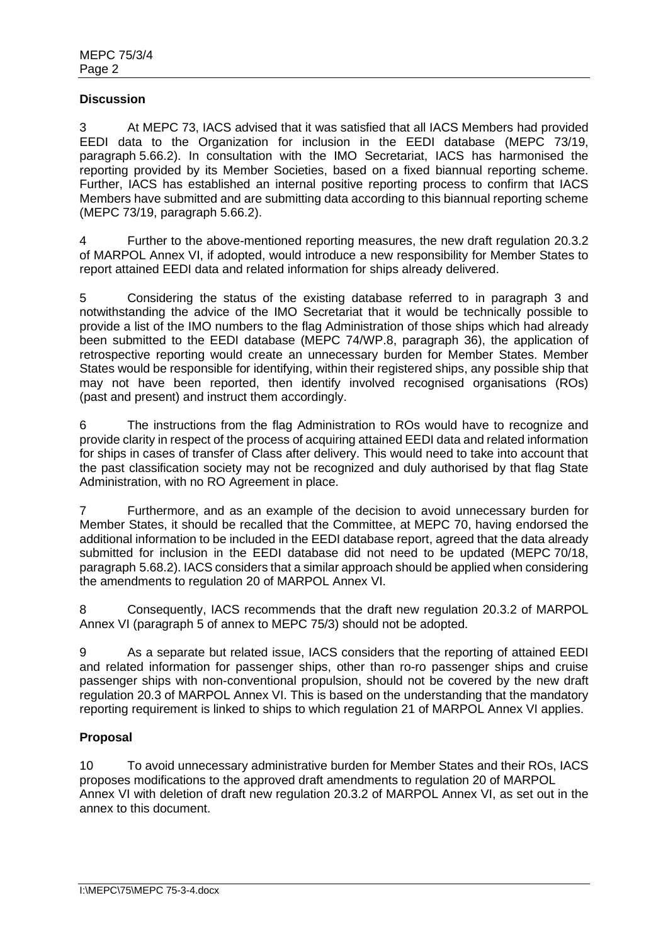#### **Discussion**

3 At MEPC 73, IACS advised that it was satisfied that all IACS Members had provided EEDI data to the Organization for inclusion in the EEDI database (MEPC 73/19, paragraph 5.66.2). In consultation with the IMO Secretariat, IACS has harmonised the reporting provided by its Member Societies, based on a fixed biannual reporting scheme. Further, IACS has established an internal positive reporting process to confirm that IACS Members have submitted and are submitting data according to this biannual reporting scheme (MEPC 73/19, paragraph 5.66.2).

4 Further to the above-mentioned reporting measures, the new draft regulation 20.3.2 of MARPOL Annex VI, if adopted, would introduce a new responsibility for Member States to report attained EEDI data and related information for ships already delivered.

5 Considering the status of the existing database referred to in paragraph 3 and notwithstanding the advice of the IMO Secretariat that it would be technically possible to provide a list of the IMO numbers to the flag Administration of those ships which had already been submitted to the EEDI database (MEPC 74/WP.8, paragraph 36), the application of retrospective reporting would create an unnecessary burden for Member States. Member States would be responsible for identifying, within their registered ships, any possible ship that may not have been reported, then identify involved recognised organisations (ROs) (past and present) and instruct them accordingly.

6 The instructions from the flag Administration to ROs would have to recognize and provide clarity in respect of the process of acquiring attained EEDI data and related information for ships in cases of transfer of Class after delivery. This would need to take into account that the past classification society may not be recognized and duly authorised by that flag State Administration, with no RO Agreement in place.

7 Furthermore, and as an example of the decision to avoid unnecessary burden for Member States, it should be recalled that the Committee, at MEPC 70, having endorsed the additional information to be included in the EEDI database report, agreed that the data already submitted for inclusion in the EEDI database did not need to be updated (MEPC 70/18, paragraph 5.68.2). IACS considers that a similar approach should be applied when considering the amendments to regulation 20 of MARPOL Annex VI.

8 Consequently, IACS recommends that the draft new regulation 20.3.2 of MARPOL Annex VI (paragraph 5 of annex to MEPC 75/3) should not be adopted.

9 As a separate but related issue, IACS considers that the reporting of attained EEDI and related information for passenger ships, other than ro-ro passenger ships and cruise passenger ships with non-conventional propulsion, should not be covered by the new draft regulation 20.3 of MARPOL Annex VI. This is based on the understanding that the mandatory reporting requirement is linked to ships to which regulation 21 of MARPOL Annex VI applies.

# **Proposal**

10 To avoid unnecessary administrative burden for Member States and their ROs, IACS proposes modifications to the approved draft amendments to regulation 20 of MARPOL Annex VI with deletion of draft new regulation 20.3.2 of MARPOL Annex VI, as set out in the annex to this document.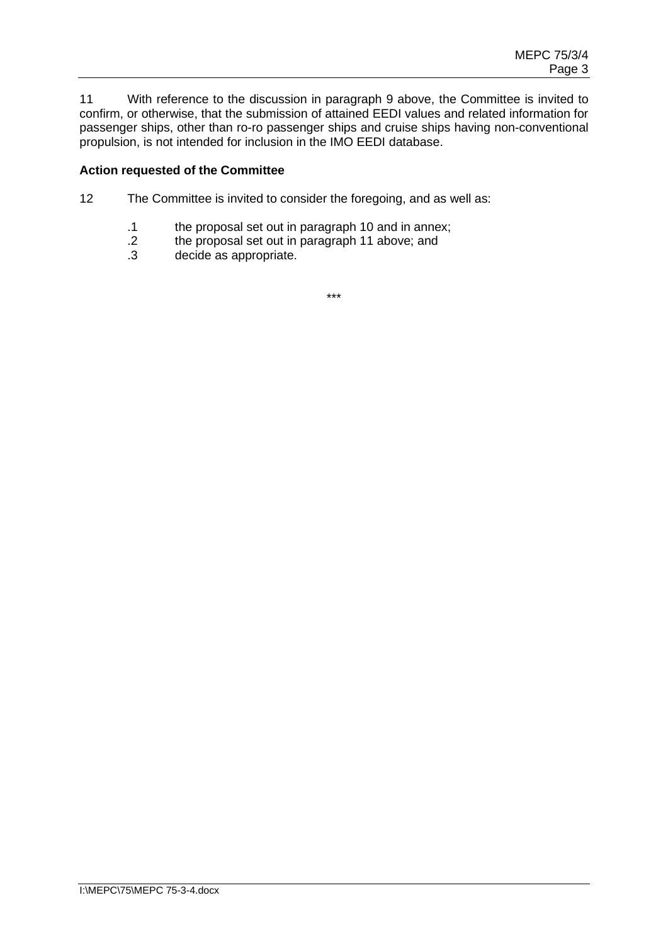11 With reference to the discussion in paragraph 9 above, the Committee is invited to confirm, or otherwise, that the submission of attained EEDI values and related information for passenger ships, other than ro-ro passenger ships and cruise ships having non-conventional propulsion, is not intended for inclusion in the IMO EEDI database.

# **Action requested of the Committee**

- 12 The Committee is invited to consider the foregoing, and as well as:
	- .1 the proposal set out in paragraph 10 and in annex;
	- .2 the proposal set out in paragraph 11 above; and
	- .3 decide as appropriate.

\*\*\*